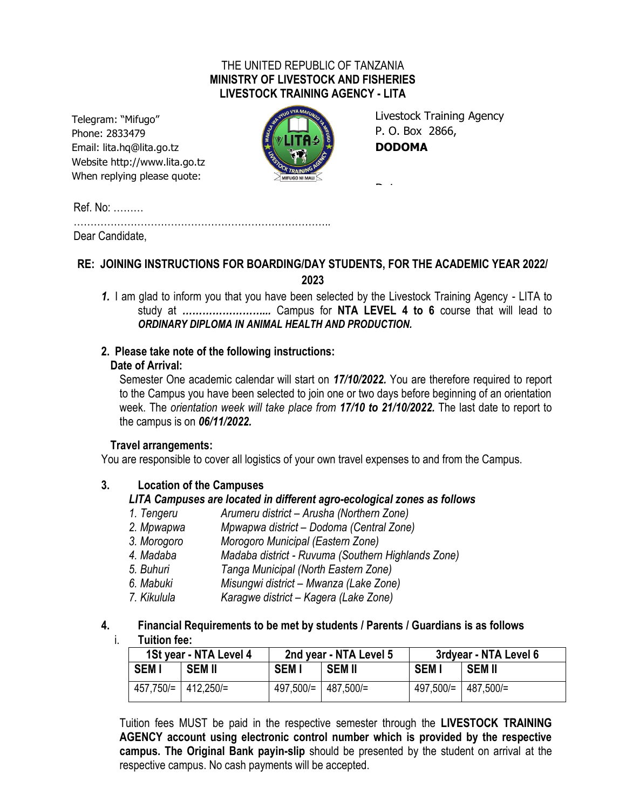## THE UNITED REPUBLIC OF TANZANIA **MINISTRY OF LIVESTOCK AND FISHERIES LIVESTOCK TRAINING AGENCY - LITA**

Telegram: "Mifugo" Phone: 2833479 Email: lita.hq@lita.go.tz Website http://www.lita.go.tz When replying please quote:



Livestock Training Agency P. O. Box 2866, **DODOMA**

Date …………………………..

Ref. No: ………

………………………………………………………………….. Dear Candidate,

# **RE: JOINING INSTRUCTIONS FOR BOARDING/DAY STUDENTS, FOR THE ACADEMIC YEAR 2022/ 2023**

*1.* I am glad to inform you that you have been selected by the Livestock Training Agency - LITA to study at *……………………...* Campus for **NTA LEVEL 4 to 6** course that will lead to *ORDINARY DIPLOMA IN ANIMAL HEALTH AND PRODUCTION.*

# **2. Please take note of the following instructions:**

# **Date of Arrival:**

Semester One academic calendar will start on *17/10/2022.* You are therefore required to report to the Campus you have been selected to join one or two days before beginning of an orientation week. The *orientation week will take place from 17/10 to 21/10/2022.* The last date to report to the campus is on *06/11/2022.*

# **Travel arrangements:**

You are responsible to cover all logistics of your own travel expenses to and from the Campus.

# **3. Location of the Campuses**

# *LITA Campuses are located in different agro-ecological zones as follows*

- *1. Tengeru Arumeru district – Arusha (Northern Zone)*
- *2. Mpwapwa Mpwapwa district – Dodoma (Central Zone)*
- *3. Morogoro Morogoro Municipal (Eastern Zone)*
- *4. Madaba Madaba district - Ruvuma (Southern Highlands Zone)*
- *5. Buhuri Tanga Municipal (North Eastern Zone)*
- *6. Mabuki Misungwi district – Mwanza (Lake Zone)*
- *7. Kikulula Karagwe district – Kagera (Lake Zone)*

# **4. Financial Requirements to be met by students / Parents / Guardians is as follows**

i. **Tuition fee:**

| 1St year - NTA Level 4 |                       | 2nd year - NTA Level 5 |                                 | 3rdyear - NTA Level 6 |                                 |
|------------------------|-----------------------|------------------------|---------------------------------|-----------------------|---------------------------------|
| <b>SEMI</b>            | <b>SEM II</b>         | <b>SEMI</b>            | <b>SEM II</b>                   | <b>SEMI</b>           | SEM II                          |
|                        | 457,750/=   412,250/= |                        | $497,500/=\vert 487,500/=\vert$ |                       | $497,500/=\vert 487,500/=\vert$ |

Tuition fees MUST be paid in the respective semester through the **LIVESTOCK TRAINING AGENCY account using electronic control number which is provided by the respective campus. The Original Bank payin-slip** should be presented by the student on arrival at the respective campus. No cash payments will be accepted.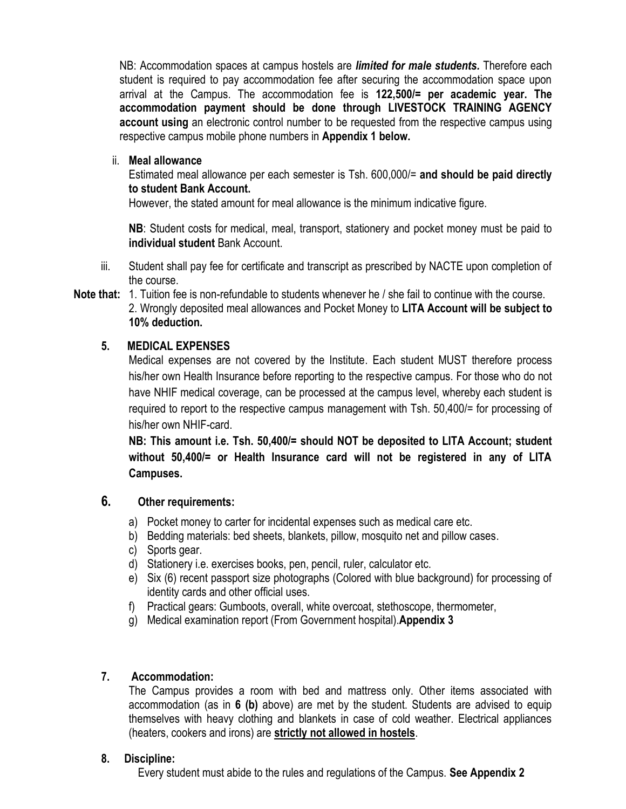NB: Accommodation spaces at campus hostels are *limited for male students.* Therefore each student is required to pay accommodation fee after securing the accommodation space upon arrival at the Campus. The accommodation fee is **122,500/= per academic year. The accommodation payment should be done through LIVESTOCK TRAINING AGENCY account using** an electronic control number to be requested from the respective campus using respective campus mobile phone numbers in **Appendix 1 below.**

ii. **Meal allowance**

Estimated meal allowance per each semester is Tsh. 600,000/= **and should be paid directly to student Bank Account.**

However, the stated amount for meal allowance is the minimum indicative figure.

**NB**: Student costs for medical, meal, transport, stationery and pocket money must be paid to **individual student** Bank Account.

- iii. Student shall pay fee for certificate and transcript as prescribed by NACTE upon completion of the course.
- **Note that:** 1. Tuition fee is non-refundable to students whenever he / she fail to continue with the course. 2. Wrongly deposited meal allowances and Pocket Money to **LITA Account will be subject to 10% deduction.**

## **5. MEDICAL EXPENSES**

Medical expenses are not covered by the Institute. Each student MUST therefore process his/her own Health Insurance before reporting to the respective campus. For those who do not have NHIF medical coverage, can be processed at the campus level, whereby each student is required to report to the respective campus management with Tsh. 50,400/= for processing of his/her own NHIF-card.

**NB: This amount i.e. Tsh. 50,400/= should NOT be deposited to LITA Account; student without 50,400/= or Health Insurance card will not be registered in any of LITA Campuses.**

# **6. Other requirements:**

- a) Pocket money to carter for incidental expenses such as medical care etc.
- b) Bedding materials: bed sheets, blankets, pillow, mosquito net and pillow cases.
- c) Sports gear.
- d) Stationery i.e. exercises books, pen, pencil, ruler, calculator etc.
- e) Six (6) recent passport size photographs (Colored with blue background) for processing of identity cards and other official uses.
- f) Practical gears: Gumboots, overall, white overcoat, stethoscope, thermometer,
- g) Medical examination report (From Government hospital).**Appendix 3**

## **7. Accommodation:**

The Campus provides a room with bed and mattress only. Other items associated with accommodation (as in **6 (b)** above) are met by the student. Students are advised to equip themselves with heavy clothing and blankets in case of cold weather. Electrical appliances (heaters, cookers and irons) are **strictly not allowed in hostels**.

## **8. Discipline:**

Every student must abide to the rules and regulations of the Campus. **See Appendix 2**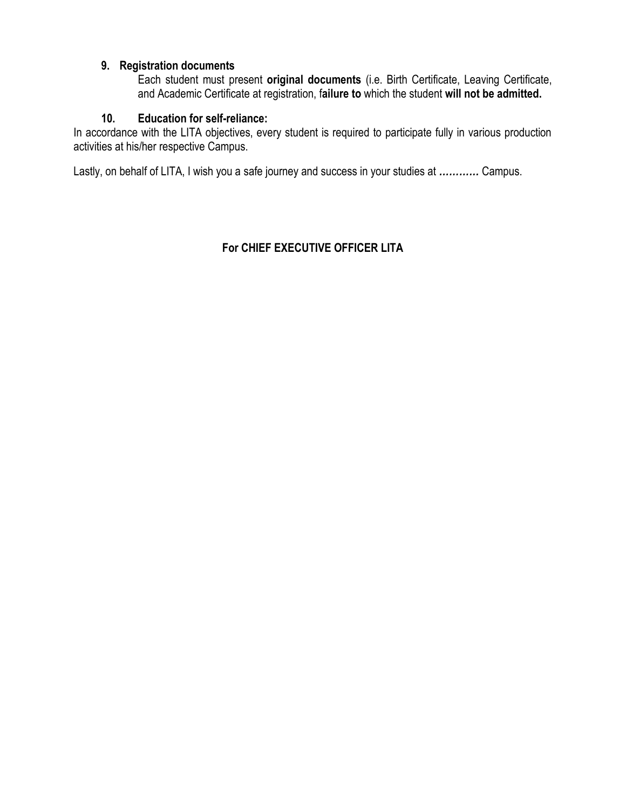## **9. Registration documents**

Each student must present **original documents** (i.e. Birth Certificate, Leaving Certificate, and Academic Certificate at registration, f**ailure to** which the student **will not be admitted.**

## **10. Education for self-reliance:**

In accordance with the LITA objectives, every student is required to participate fully in various production activities at his/her respective Campus.

Lastly, on behalf of LITA, I wish you a safe journey and success in your studies at *…………* Campus.

# **For CHIEF EXECUTIVE OFFICER LITA**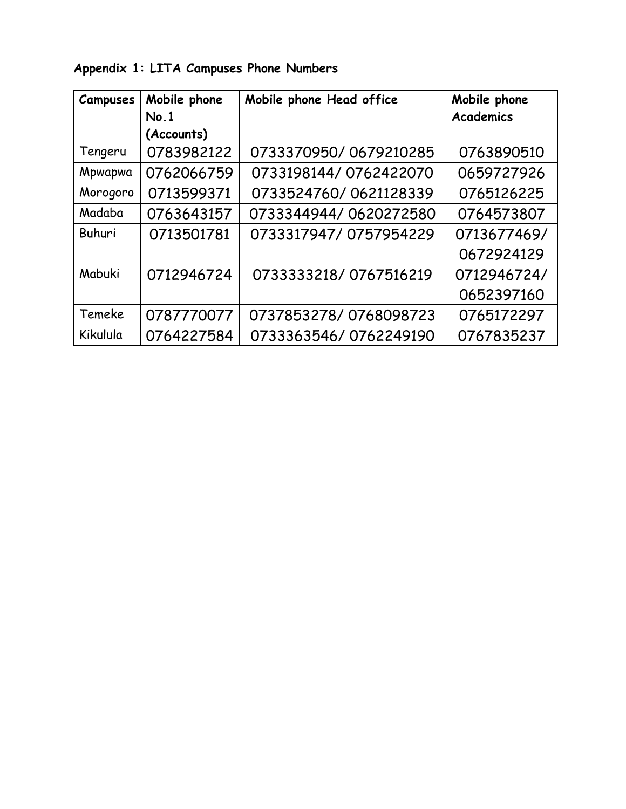| <b>Campuses</b> | Mobile phone | Mobile phone Head office | Mobile phone     |
|-----------------|--------------|--------------------------|------------------|
|                 | No.1         |                          | <b>Academics</b> |
|                 | (Accounts)   |                          |                  |
| Tengeru         | 0783982122   | 0733370950/0679210285    | 0763890510       |
| Mpwapwa         | 0762066759   | 0733198144/0762422070    | 0659727926       |
| Morogoro        | 0713599371   | 0733524760/0621128339    | 0765126225       |
| Madaba          | 0763643157   | 0733344944/0620272580    | 0764573807       |
| Buhuri          | 0713501781   | 0733317947/0757954229    | 0713677469/      |
|                 |              |                          | 0672924129       |
| Mabuki          | 0712946724   | 0733333218/0767516219    | 0712946724/      |
|                 |              |                          | 0652397160       |
| Temeke          | 0787770077   | 0737853278/0768098723    | 0765172297       |
| Kikulula        | 0764227584   | 0733363546/0762249190    | 0767835237       |

**Appendix 1: LITA Campuses Phone Numbers**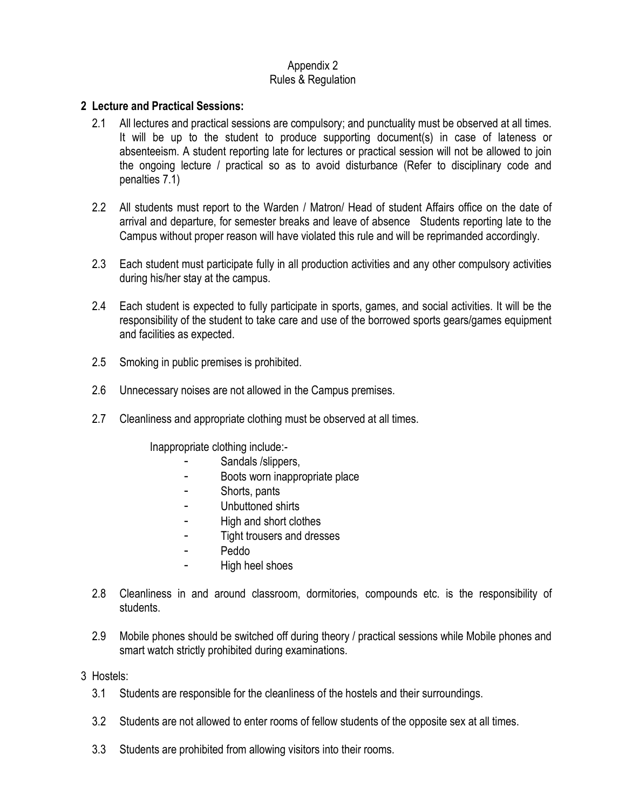#### Appendix 2 Rules & Regulation

## **2 Lecture and Practical Sessions:**

- 2.1 All lectures and practical sessions are compulsory; and punctuality must be observed at all times. It will be up to the student to produce supporting document(s) in case of lateness or absenteeism. A student reporting late for lectures or practical session will not be allowed to join the ongoing lecture / practical so as to avoid disturbance (Refer to disciplinary code and penalties 7.1)
- 2.2 All students must report to the Warden / Matron/ Head of student Affairs office on the date of arrival and departure, for semester breaks and leave of absence Students reporting late to the Campus without proper reason will have violated this rule and will be reprimanded accordingly.
- 2.3 Each student must participate fully in all production activities and any other compulsory activities during his/her stay at the campus.
- 2.4 Each student is expected to fully participate in sports, games, and social activities. It will be the responsibility of the student to take care and use of the borrowed sports gears/games equipment and facilities as expected.
- 2.5 Smoking in public premises is prohibited.
- 2.6 Unnecessary noises are not allowed in the Campus premises.
- 2.7 Cleanliness and appropriate clothing must be observed at all times.

Inappropriate clothing include:-

- Sandals /slippers,
- Boots worn inappropriate place
- Shorts, pants
- Unbuttoned shirts
- High and short clothes
- Tight trousers and dresses
- Peddo
- High heel shoes
- 2.8 Cleanliness in and around classroom, dormitories, compounds etc. is the responsibility of students.
- 2.9 Mobile phones should be switched off during theory / practical sessions while Mobile phones and smart watch strictly prohibited during examinations.
- 3 Hostels:
	- 3.1 Students are responsible for the cleanliness of the hostels and their surroundings.
	- 3.2 Students are not allowed to enter rooms of fellow students of the opposite sex at all times.
	- 3.3 Students are prohibited from allowing visitors into their rooms.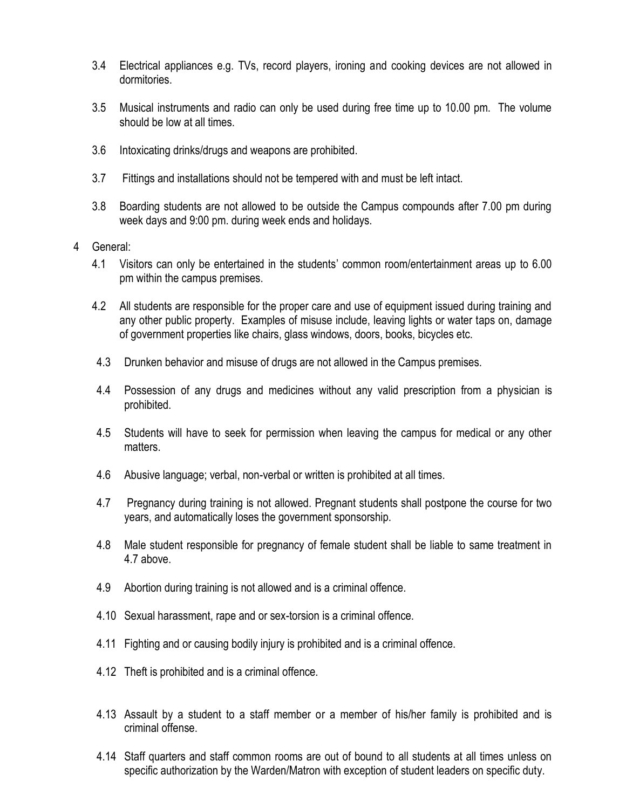- 3.4 Electrical appliances e.g. TVs, record players, ironing and cooking devices are not allowed in dormitories.
- 3.5 Musical instruments and radio can only be used during free time up to 10.00 pm. The volume should be low at all times.
- 3.6 Intoxicating drinks/drugs and weapons are prohibited.
- 3.7 Fittings and installations should not be tempered with and must be left intact.
- 3.8 Boarding students are not allowed to be outside the Campus compounds after 7.00 pm during week days and 9:00 pm. during week ends and holidays.
- 4 General:
	- 4.1 Visitors can only be entertained in the students' common room/entertainment areas up to 6.00 pm within the campus premises.
	- 4.2 All students are responsible for the proper care and use of equipment issued during training and any other public property. Examples of misuse include, leaving lights or water taps on, damage of government properties like chairs, glass windows, doors, books, bicycles etc.
	- 4.3 Drunken behavior and misuse of drugs are not allowed in the Campus premises.
	- 4.4 Possession of any drugs and medicines without any valid prescription from a physician is prohibited.
	- 4.5 Students will have to seek for permission when leaving the campus for medical or any other matters.
	- 4.6 Abusive language; verbal, non-verbal or written is prohibited at all times.
	- 4.7 Pregnancy during training is not allowed. Pregnant students shall postpone the course for two years, and automatically loses the government sponsorship.
	- 4.8 Male student responsible for pregnancy of female student shall be liable to same treatment in 4.7 above.
	- 4.9 Abortion during training is not allowed and is a criminal offence.
	- 4.10 Sexual harassment, rape and or sex-torsion is a criminal offence.
	- 4.11 Fighting and or causing bodily injury is prohibited and is a criminal offence.
	- 4.12 Theft is prohibited and is a criminal offence.
	- 4.13 Assault by a student to a staff member or a member of his/her family is prohibited and is criminal offense.
	- 4.14 Staff quarters and staff common rooms are out of bound to all students at all times unless on specific authorization by the Warden/Matron with exception of student leaders on specific duty.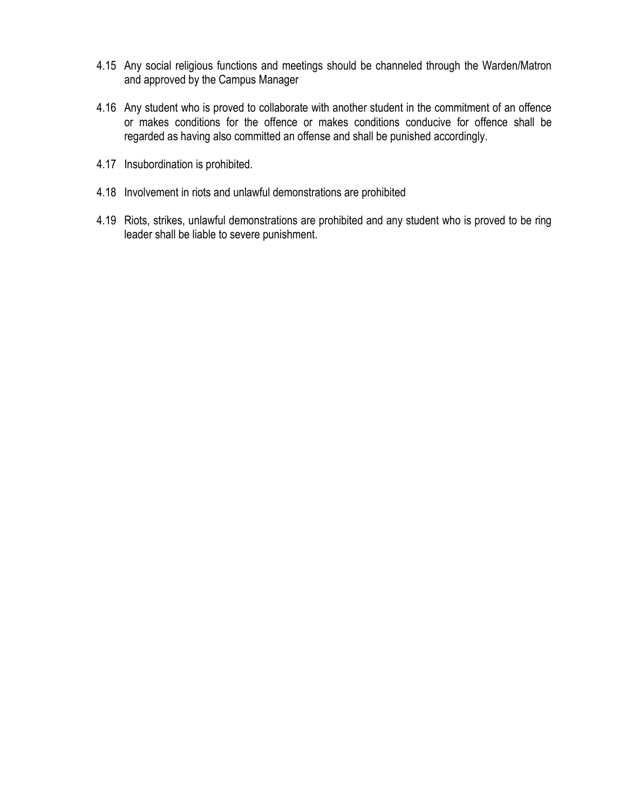- 4.15 Any social religious functions and meetings should be channeled through the Warden/Matron and approved by the Campus Manager
- 4.16 Any student who is proved to collaborate with another student in the commitment of an offence or makes conditions for the offence or makes conditions conducive for offence shall be regarded as having also committed an offense and shall be punished accordingly.
- 4.17 Insubordination is prohibited.
- 4.18 Involvement in riots and unlawful demonstrations are prohibited
- 4.19 Riots, strikes, unlawful demonstrations are prohibited and any student who is proved to be ring leader shall be liable to severe punishment.